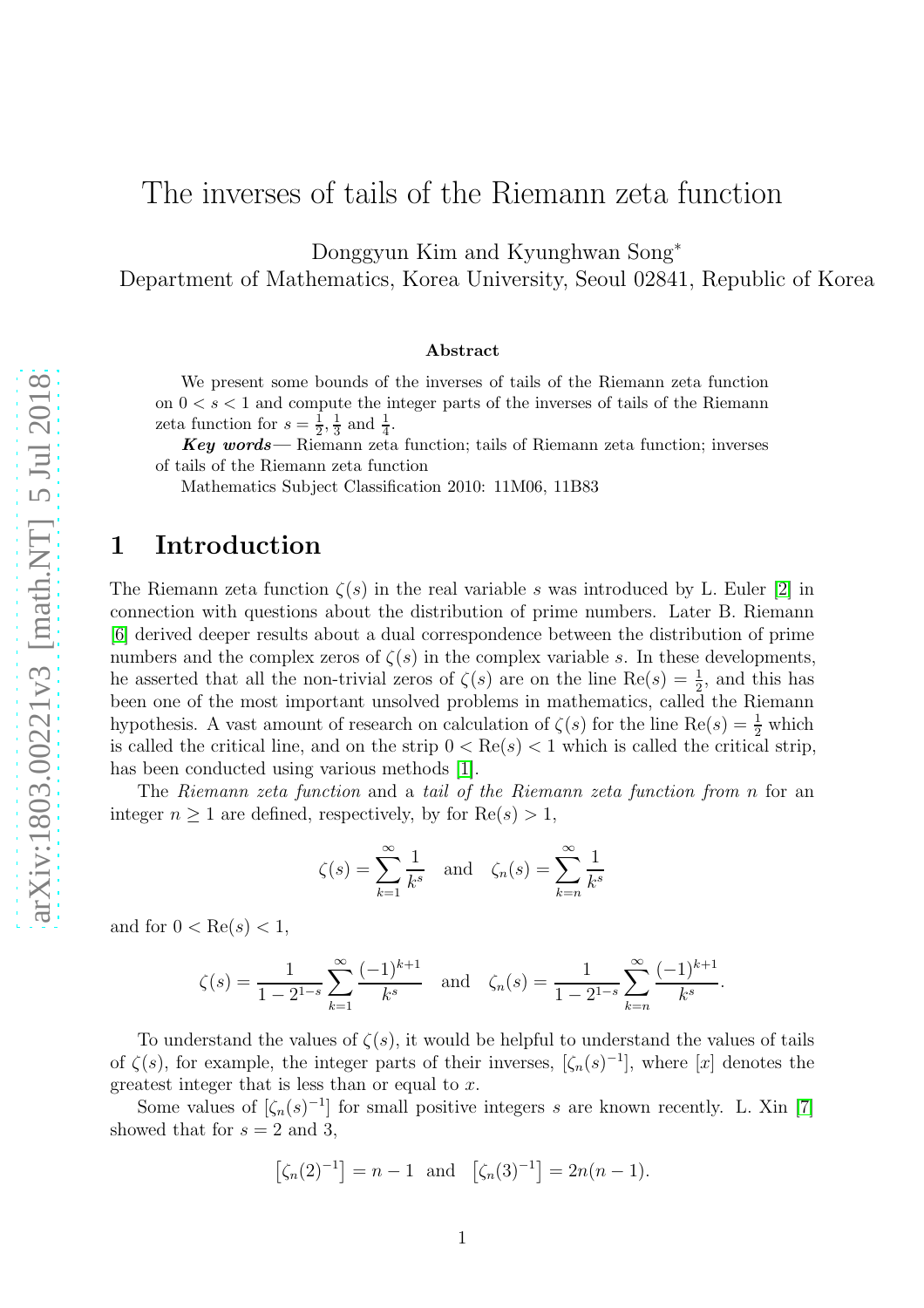# The inverses of tails of the Riemann zeta function

Donggyun Kim and Kyunghwan Song<sup>∗</sup>

Department of Mathematics, Korea University, Seoul 02841, Republic of Korea

#### Abstract

We present some bounds of the inverses of tails of the Riemann zeta function on  $0 < s < 1$  and compute the integer parts of the inverses of tails of the Riemann zeta function for  $s=\frac{1}{2}$  $\frac{1}{2}, \frac{1}{3}$  $\frac{1}{3}$  and  $\frac{1}{4}$ .

Key words— Riemann zeta function; tails of Riemann zeta function; inverses of tails of the Riemann zeta function

Mathematics Subject Classification 2010: 11M06, 11B83

### 1 Introduction

The Riemann zeta function  $\zeta(s)$  in the real variable s was introduced by L. Euler [\[2\]](#page-11-0) in connection with questions about the distribution of prime numbers. Later B. Riemann [6] derived deeper results about a dual correspondence between the distribution of prime numbers and the complex zeros of  $\zeta(s)$  in the complex variable s. In these developments, he asserted that all the non-trivial zeros of  $\zeta(s)$  are on the line  $\text{Re}(s) = \frac{1}{2}$ , and this has been one of the most important unsolved problems in mathematics, called the Riemann hypothesis. A vast amount of research on calculation of  $\zeta(s)$  for the line  $\text{Re}(s) = \frac{1}{2}$  which is called the critical line, and on the strip  $0 < \text{Re}(s) < 1$  which is called the critical strip, has been conducted using various methods [\[1\]](#page-11-1).

The Riemann zeta function and a tail of the Riemann zeta function from n for an integer  $n \geq 1$  are defined, respectively, by for  $\text{Re}(s) > 1$ ,

$$
\zeta(s) = \sum_{k=1}^{\infty} \frac{1}{k^s}
$$
 and  $\zeta_n(s) = \sum_{k=n}^{\infty} \frac{1}{k^s}$ 

and for  $0 < \text{Re}(s) < 1$ ,

$$
\zeta(s) = \frac{1}{1 - 2^{1-s}} \sum_{k=1}^{\infty} \frac{(-1)^{k+1}}{k^s} \quad \text{and} \quad \zeta_n(s) = \frac{1}{1 - 2^{1-s}} \sum_{k=n}^{\infty} \frac{(-1)^{k+1}}{k^s}.
$$

To understand the values of  $\zeta(s)$ , it would be helpful to understand the values of tails of  $\zeta(s)$ , for example, the integer parts of their inverses,  $[\zeta_n(s)^{-1}]$ , where [x] denotes the greatest integer that is less than or equal to  $x$ .

Some values of  $[\zeta_n(s)^{-1}]$  for small positive integers s are known recently. L. Xin [7] showed that for  $s = 2$  and 3,

$$
[\zeta_n(2)^{-1}] = n - 1
$$
 and  $[\zeta_n(3)^{-1}] = 2n(n - 1).$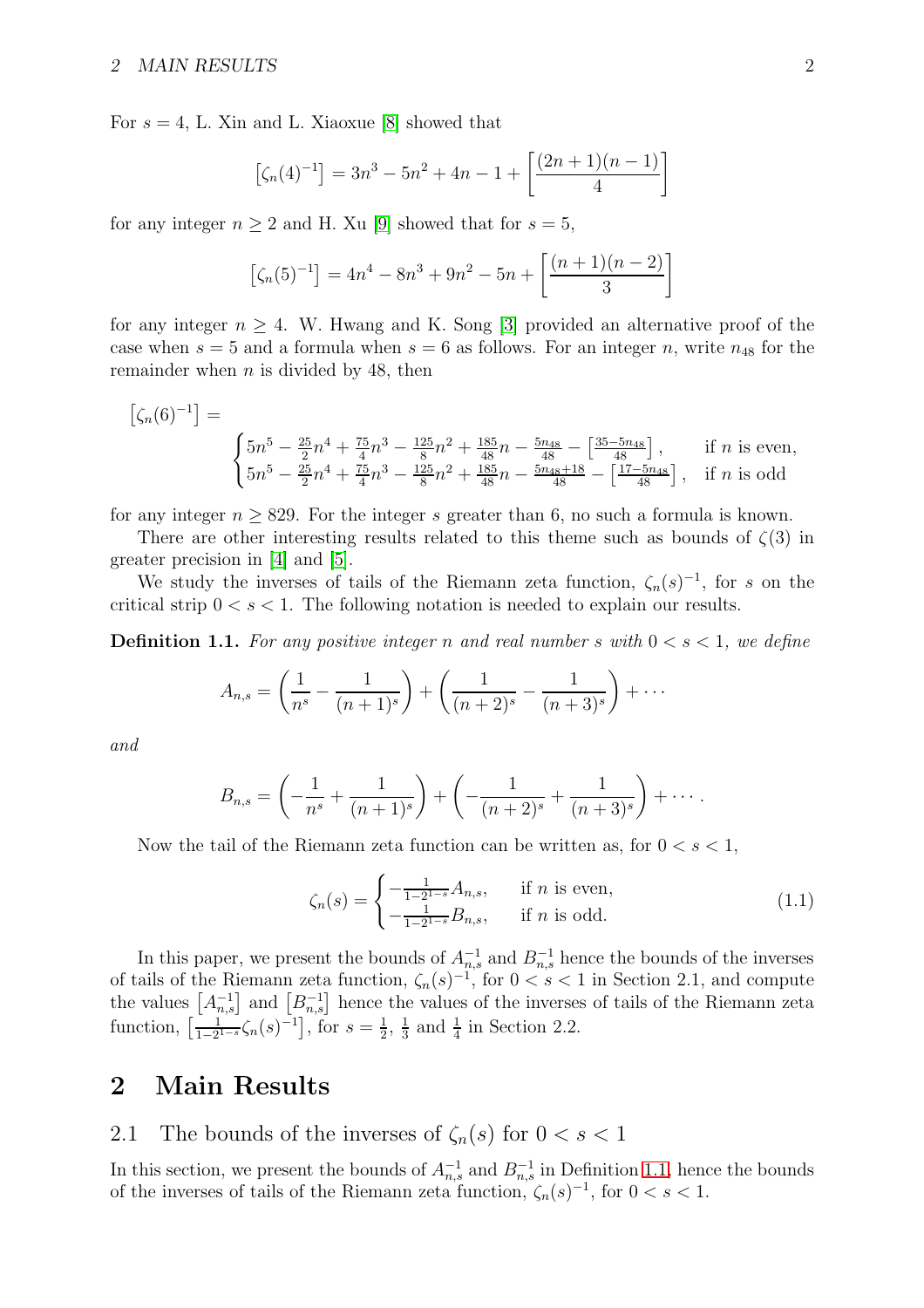For  $s = 4$ , L. Xin and L. Xiaoxue [8] showed that

$$
[\zeta_n(4)^{-1}] = 3n^3 - 5n^2 + 4n - 1 + \left[\frac{(2n+1)(n-1)}{4}\right]
$$

for any integer  $n \geq 2$  and H. Xu [9] showed that for  $s = 5$ ,

$$
[\zeta_n(5)^{-1}] = 4n^4 - 8n^3 + 9n^2 - 5n + \left[\frac{(n+1)(n-2)}{3}\right]
$$

for any integer  $n \geq 4$ . W. Hwang and K. Song [3] provided an alternative proof of the case when  $s = 5$  and a formula when  $s = 6$  as follows. For an integer n, write  $n_{48}$  for the remainder when  $n$  is divided by 48, then

$$
\begin{bmatrix} \zeta_n(6)^{-1} \end{bmatrix} = \begin{cases} 5n^5 - \frac{25}{2}n^4 + \frac{75}{4}n^3 - \frac{125}{8}n^2 + \frac{185}{48}n - \frac{5n_{48}}{48} - \left[\frac{35 - 5n_{48}}{48}\right], & \text{if } n \text{ is even,} \\ 5n^5 - \frac{25}{2}n^4 + \frac{75}{4}n^3 - \frac{125}{8}n^2 + \frac{185}{48}n - \frac{5n_{48} + 18}{48} - \left[\frac{17 - 5n_{48}}{48}\right], & \text{if } n \text{ is odd} \end{cases}
$$

for any integer  $n \geq 829$ . For the integer s greater than 6, no such a formula is known.

There are other interesting results related to this theme such as bounds of  $\zeta(3)$  in greater precision in [\[4\]](#page-11-2) and [\[5\]](#page-11-3).

We study the inverses of tails of the Riemann zeta function,  $\zeta_n(s)^{-1}$ , for s on the critical strip  $0 < s < 1$ . The following notation is needed to explain our results.

**Definition 1.1.** For any positive integer n and real number s with  $0 < s < 1$ , we define

$$
A_{n,s} = \left(\frac{1}{n^s} - \frac{1}{(n+1)^s}\right) + \left(\frac{1}{(n+2)^s} - \frac{1}{(n+3)^s}\right) + \cdots
$$

and

$$
B_{n,s} = \left(-\frac{1}{n^s} + \frac{1}{(n+1)^s}\right) + \left(-\frac{1}{(n+2)^s} + \frac{1}{(n+3)^s}\right) + \cdots
$$

Now the tail of the Riemann zeta function can be written as, for  $0 < s < 1$ ,

<span id="page-1-0"></span>
$$
\zeta_n(s) = \begin{cases}\n-\frac{1}{1-2^{1-s}} A_{n,s}, & \text{if } n \text{ is even,} \\
-\frac{1}{1-2^{1-s}} B_{n,s}, & \text{if } n \text{ is odd.}\n\end{cases}
$$
\n(1.1)

In this paper, we present the bounds of  $A_{n,s}^{-1}$  and  $B_{n,s}^{-1}$  hence the bounds of the inverses of tails of the Riemann zeta function,  $\zeta_n(s)^{-1}$ , for  $0 < s < 1$  in Section 2.1, and compute the values  $\left[A_{n,s}^{-1}\right]$  and  $\left[B_{n,s}^{-1}\right]$  hence the values of the inverses of tails of the Riemann zeta function,  $\left[\frac{1}{1-2^{1-s}}\zeta_n(s)^{-1}\right]$ , for  $s=\frac{1}{2}$  $\frac{1}{2}$ ,  $\frac{1}{3}$  $\frac{1}{3}$  and  $\frac{1}{4}$  in Section 2.2.

### 2 Main Results

2.1 The bounds of the inverses of  $\zeta_n(s)$  for  $0 < s < 1$ 

In this section, we present the bounds of  $A_{n,s}^{-1}$  and  $B_{n,s}^{-1}$  in Definition [1.1,](#page-1-0) hence the bounds of the inverses of tails of the Riemann zeta function,  $\zeta_n(s)^{-1}$ , for  $0 < s < 1$ .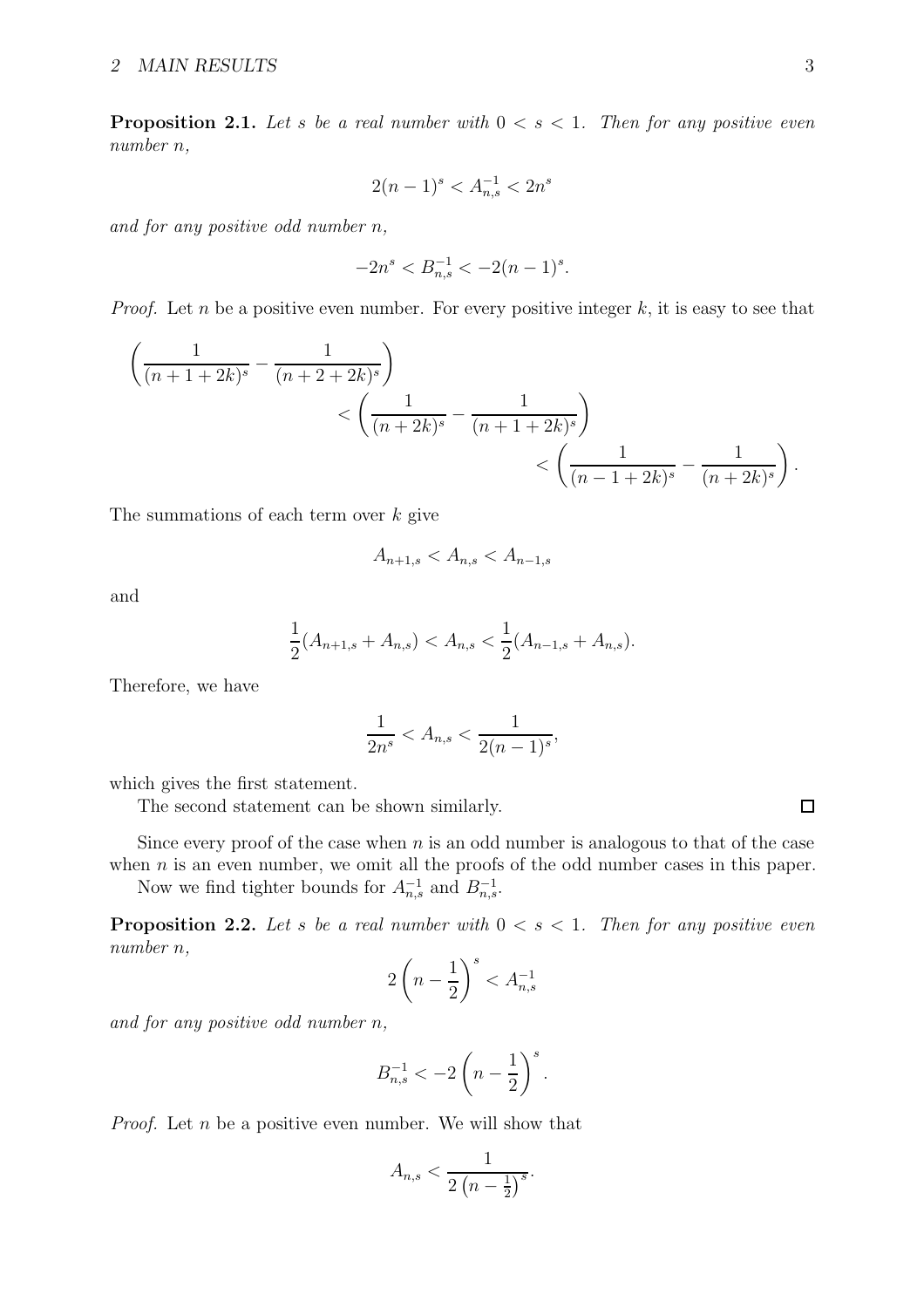**Proposition 2.1.** Let s be a real number with  $0 < s < 1$ . Then for any positive even number n,

$$
2(n-1)^s < A_{n,s}^{-1} < 2n^s
$$

and for any positive odd number n,

$$
-2n^s < B_{n,s}^{-1} < -2(n-1)^s.
$$

*Proof.* Let n be a positive even number. For every positive integer k, it is easy to see that

$$
\left(\frac{1}{(n+1+2k)^s} - \frac{1}{(n+2+2k)^s}\right) \lt \left(\frac{1}{(n+2k)^s} - \frac{1}{(n+1+2k)^s}\right) \lt \left(\frac{1}{(n-1+2k)^s} - \frac{1}{(n+2k)^s}\right).
$$

The summations of each term over  $k$  give

$$
A_{n+1,s} < A_{n,s} < A_{n-1,s}
$$

and

$$
\frac{1}{2}(A_{n+1,s} + A_{n,s}) < A_{n,s} < \frac{1}{2}(A_{n-1,s} + A_{n,s}).
$$

Therefore, we have

$$
\frac{1}{2n^s} < A_{n,s} < \frac{1}{2(n-1)^s},
$$

which gives the first statement.

The second statement can be shown similarly.

Since every proof of the case when  $n$  is an odd number is analogous to that of the case when  $n$  is an even number, we omit all the proofs of the odd number cases in this paper.

<span id="page-2-0"></span>Now we find tighter bounds for  $A_{n,s}^{-1}$  and  $B_{n,s}^{-1}$ .

**Proposition 2.2.** Let s be a real number with  $0 \lt s \lt 1$ . Then for any positive even number n,

$$
2\left(n-\frac{1}{2}\right)^s < A_{n,s}^{-1}
$$

and for any positive odd number n,

$$
B_{n,s}^{-1} < -2\left(n - \frac{1}{2}\right)^s.
$$

*Proof.* Let  $n$  be a positive even number. We will show that

$$
A_{n,s} < \frac{1}{2\left(n-\frac{1}{2}\right)^s}.
$$

 $\Box$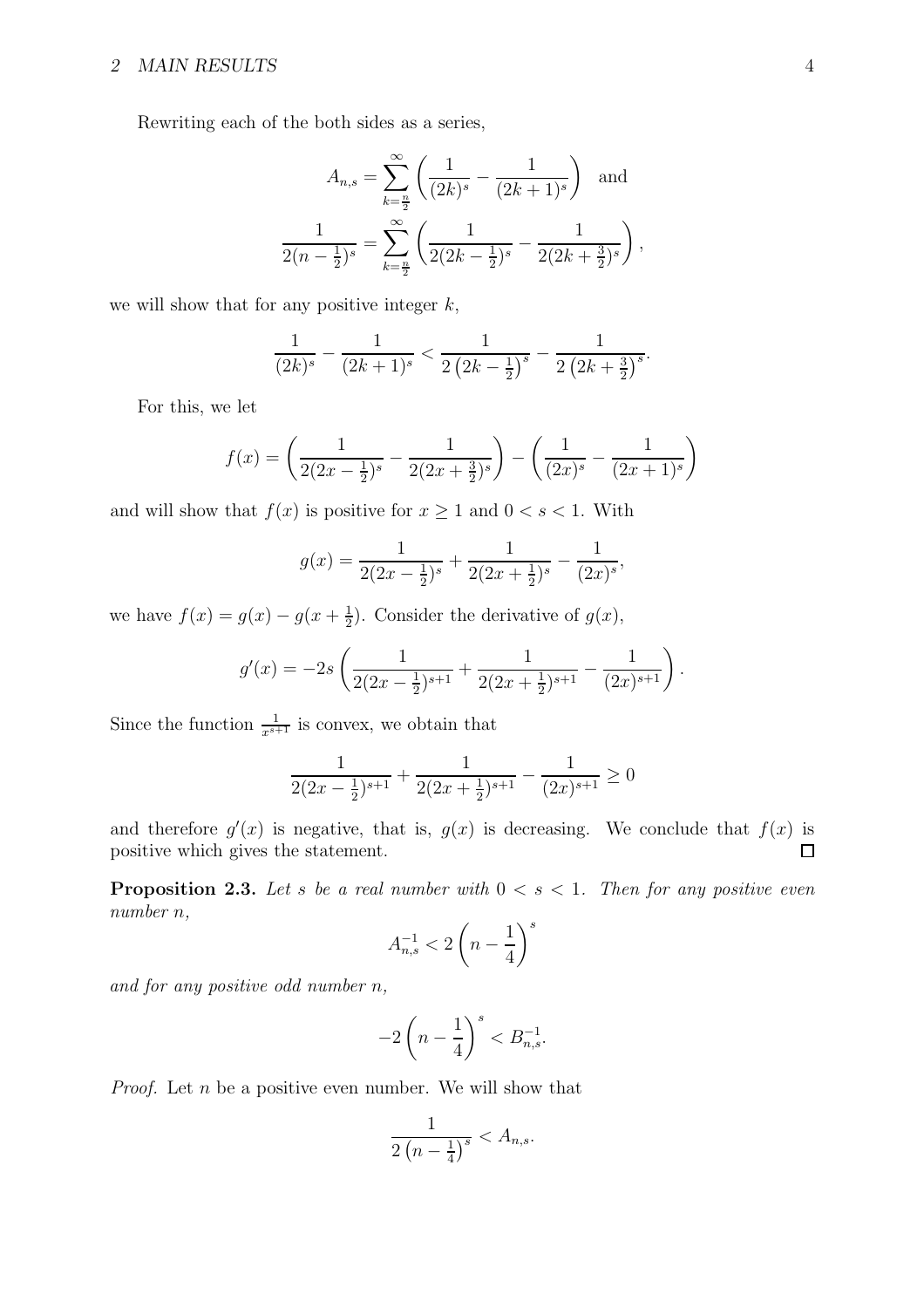Rewriting each of the both sides as a series,

$$
A_{n,s} = \sum_{k=\frac{n}{2}}^{\infty} \left( \frac{1}{(2k)^s} - \frac{1}{(2k+1)^s} \right) \text{ and}
$$

$$
\frac{1}{2(n-\frac{1}{2})^s} = \sum_{k=\frac{n}{2}}^{\infty} \left( \frac{1}{2(2k-\frac{1}{2})^s} - \frac{1}{2(2k+\frac{3}{2})^s} \right),
$$

we will show that for any positive integer  $k$ ,

$$
\frac{1}{(2k)^s} - \frac{1}{(2k+1)^s} < \frac{1}{2\left(2k - \frac{1}{2}\right)^s} - \frac{1}{2\left(2k + \frac{3}{2}\right)^s}.
$$

For this, we let

$$
f(x) = \left(\frac{1}{2(2x - \frac{1}{2})^s} - \frac{1}{2(2x + \frac{3}{2})^s}\right) - \left(\frac{1}{(2x)^s} - \frac{1}{(2x + 1)^s}\right)
$$

and will show that  $f(x)$  is positive for  $x \ge 1$  and  $0 < s < 1$ . With

$$
g(x) = \frac{1}{2(2x - \frac{1}{2})^s} + \frac{1}{2(2x + \frac{1}{2})^s} - \frac{1}{(2x)^s},
$$

we have  $f(x) = g(x) - g(x + \frac{1}{2})$  $\frac{1}{2}$ ). Consider the derivative of  $g(x)$ ,

$$
g'(x) = -2s\left(\frac{1}{2(2x-\frac{1}{2})^{s+1}} + \frac{1}{2(2x+\frac{1}{2})^{s+1}} - \frac{1}{(2x)^{s+1}}\right).
$$

Since the function  $\frac{1}{x^{s+1}}$  is convex, we obtain that

$$
\frac{1}{2(2x-\frac{1}{2})^{s+1}} + \frac{1}{2(2x+\frac{1}{2})^{s+1}} - \frac{1}{(2x)^{s+1}} \ge 0
$$

and therefore  $g'(x)$  is negative, that is,  $g(x)$  is decreasing. We conclude that  $f(x)$  is positive which gives the statement.  $\Box$ 

<span id="page-3-0"></span>**Proposition 2.3.** Let s be a real number with  $0 < s < 1$ . Then for any positive even number n,

$$
A_{n,s}^{-1}<2\left(n-\frac{1}{4}\right)^s
$$

and for any positive odd number n,

$$
-2\left(n-\frac{1}{4}\right)^s < B_{n,s}^{-1}.
$$

*Proof.* Let  $n$  be a positive even number. We will show that

$$
\frac{1}{2\left(n-\frac{1}{4}\right)^s} < A_{n,s}.
$$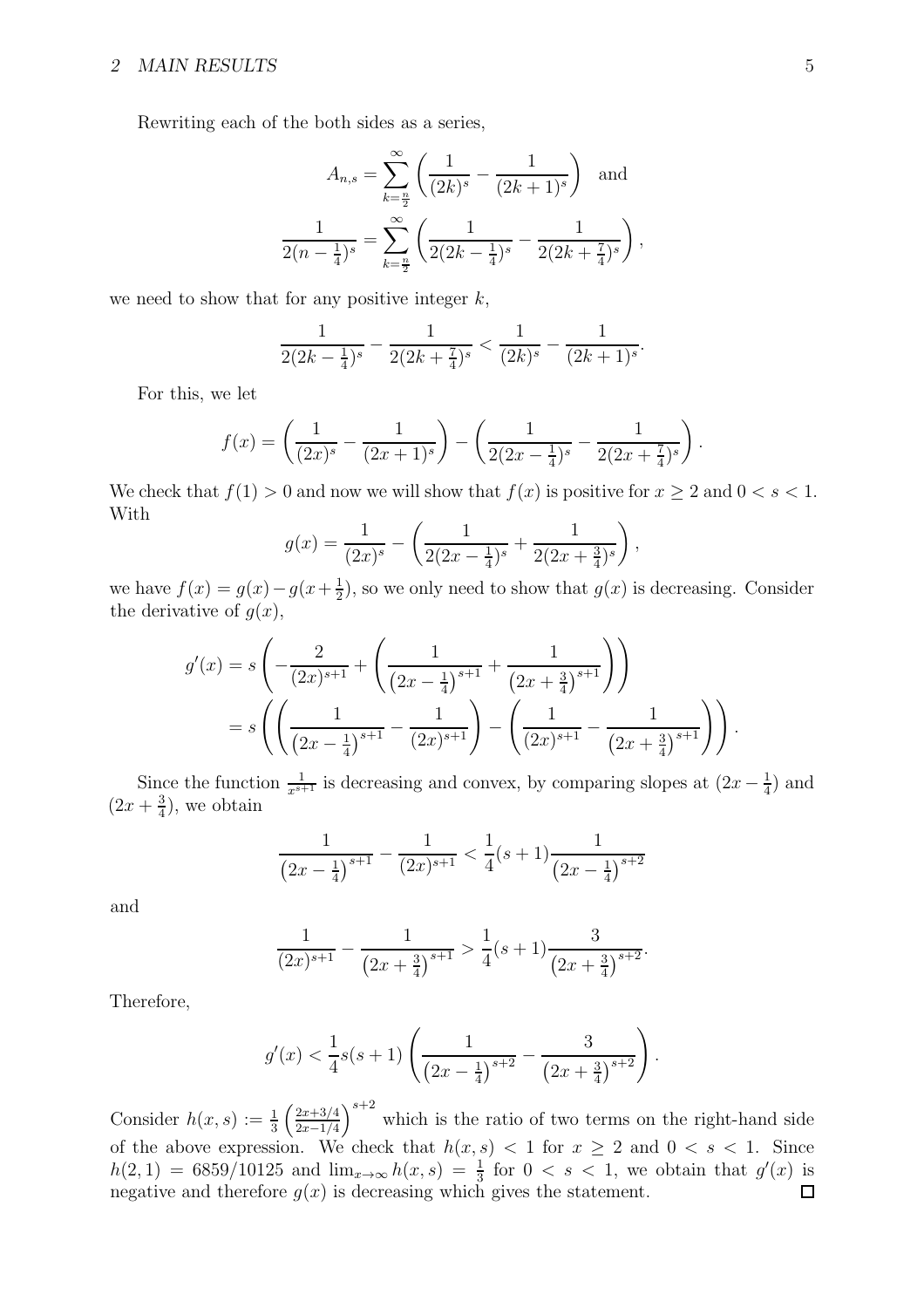Rewriting each of the both sides as a series,

$$
A_{n,s} = \sum_{k=\frac{n}{2}}^{\infty} \left( \frac{1}{(2k)^s} - \frac{1}{(2k+1)^s} \right) \text{ and}
$$

$$
\frac{1}{2(n-\frac{1}{4})^s} = \sum_{k=\frac{n}{2}}^{\infty} \left( \frac{1}{2(2k-\frac{1}{4})^s} - \frac{1}{2(2k+\frac{7}{4})^s} \right),
$$

we need to show that for any positive integer  $k$ ,

$$
\frac{1}{2(2k-\frac{1}{4})^s} - \frac{1}{2(2k+\frac{7}{4})^s} < \frac{1}{(2k)^s} - \frac{1}{(2k+1)^s}.
$$

For this, we let

$$
f(x) = \left(\frac{1}{(2x)^s} - \frac{1}{(2x+1)^s}\right) - \left(\frac{1}{2(2x-\frac{1}{4})^s} - \frac{1}{2(2x+\frac{7}{4})^s}\right).
$$

We check that  $f(1) > 0$  and now we will show that  $f(x)$  is positive for  $x \ge 2$  and  $0 < s < 1$ . With

$$
g(x) = \frac{1}{(2x)^s} - \left(\frac{1}{2(2x - \frac{1}{4})^s} + \frac{1}{2(2x + \frac{3}{4})^s}\right),
$$

we have  $f(x) = g(x) - g(x + \frac{1}{2})$  $\frac{1}{2}$ , so we only need to show that  $g(x)$  is decreasing. Consider the derivative of  $g(x)$ ,

$$
g'(x) = s \left( -\frac{2}{(2x)^{s+1}} + \left( \frac{1}{(2x - \frac{1}{4})^{s+1}} + \frac{1}{(2x + \frac{3}{4})^{s+1}} \right) \right)
$$
  
=  $s \left( \left( \frac{1}{(2x - \frac{1}{4})^{s+1}} - \frac{1}{(2x)^{s+1}} \right) - \left( \frac{1}{(2x)^{s+1}} - \frac{1}{(2x + \frac{3}{4})^{s+1}} \right) \right).$ 

Since the function  $\frac{1}{x^{s+1}}$  is decreasing and convex, by comparing slopes at  $(2x - \frac{1}{4})$  $\frac{1}{4}$ ) and  $(2x + \frac{3}{4})$  $\frac{3}{4}$ , we obtain

$$
\frac{1}{\left(2x - \frac{1}{4}\right)^{s+1}} - \frac{1}{(2x)^{s+1}} < \frac{1}{4}(s+1)\frac{1}{\left(2x - \frac{1}{4}\right)^{s+2}}
$$

and

$$
\frac{1}{(2x)^{s+1}} - \frac{1}{(2x+\frac{3}{4})^{s+1}} > \frac{1}{4}(s+1)\frac{3}{(2x+\frac{3}{4})^{s+2}}.
$$

Therefore,

$$
g'(x) < \frac{1}{4}s(s+1)\left(\frac{1}{\left(2x - \frac{1}{4}\right)^{s+2}} - \frac{3}{\left(2x + \frac{3}{4}\right)^{s+2}}\right).
$$

 $\left(\frac{2x+3/4}{2x-1/4}\right)^{s+2}$  which is the ratio of two terms on the right-hand side Consider  $h(x, s) := \frac{1}{3} \left( \frac{2x + 3/4}{2x - 1/4} \right)$ of the above expression. We check that  $h(x, s) < 1$  for  $x \geq 2$  and  $0 < s < 1$ . Since  $h(2, 1) = 6859/10125$  and  $\lim_{x\to\infty} h(x, s) = \frac{1}{3}$  for  $0 < s < 1$ , we obtain that  $g'(x)$  is negative and therefore  $g(x)$  is decreasing which gives the statement.  $\Box$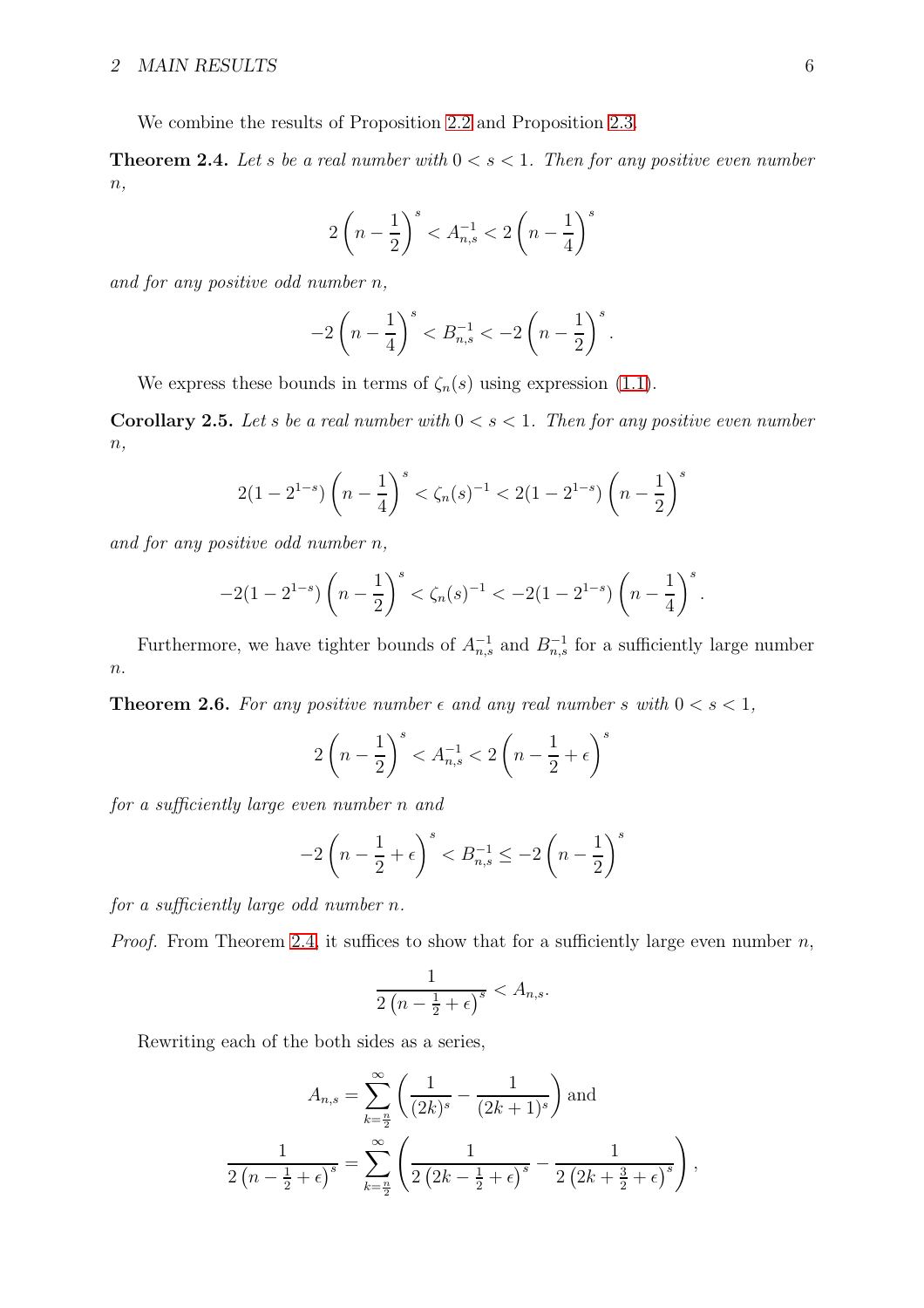<span id="page-5-0"></span>We combine the results of Proposition [2.2](#page-2-0) and Proposition [2.3.](#page-3-0)

**Theorem 2.4.** Let s be a real number with  $0 < s < 1$ . Then for any positive even number  $n,$ 

$$
2\left(n-\frac{1}{2}\right)^s < A_{n,s}^{-1} < 2\left(n-\frac{1}{4}\right)^s
$$

and for any positive odd number n,

$$
-2\left(n-\frac{1}{4}\right)^s < B_{n,s}^{-1} < -2\left(n-\frac{1}{2}\right)^s.
$$

We express these bounds in terms of  $\zeta_n(s)$  using expression [\(1.1\)](#page-1-0).

**Corollary 2.5.** Let s be a real number with  $0 < s < 1$ . Then for any positive even number  $n,$ 

$$
2(1-2^{1-s})\left(n-\frac{1}{4}\right)^s < \zeta_n(s)^{-1} < 2(1-2^{1-s})\left(n-\frac{1}{2}\right)^s
$$

and for any positive odd number n,

$$
-2(1-2^{1-s})\left(n-\frac{1}{2}\right)^s < \zeta_n(s)^{-1} < -2(1-2^{1-s})\left(n-\frac{1}{4}\right)^s.
$$

Furthermore, we have tighter bounds of  $A_{n,s}^{-1}$  and  $B_{n,s}^{-1}$  for a sufficiently large number  $\overline{n}$ .

**Theorem 2.6.** For any positive number  $\epsilon$  and any real number s with  $0 < s < 1$ ,

$$
2\left(n - \frac{1}{2}\right)^s < A_{n,s}^{-1} < 2\left(n - \frac{1}{2} + \epsilon\right)^s
$$

for a sufficiently large even number n and

$$
-2\left(n - \frac{1}{2} + \epsilon\right)^s < B_{n,s}^{-1} \le -2\left(n - \frac{1}{2}\right)^s
$$

for a sufficiently large odd number n.

*Proof.* From Theorem [2.4,](#page-5-0) it suffices to show that for a sufficiently large even number  $n$ ,

$$
\frac{1}{2\left(n-\frac{1}{2}+\epsilon\right)^s} < A_{n,s}.
$$

Rewriting each of the both sides as a series,

$$
A_{n,s} = \sum_{k=\frac{n}{2}}^{\infty} \left( \frac{1}{(2k)^s} - \frac{1}{(2k+1)^s} \right) \text{ and}
$$
  

$$
\frac{1}{2(n-\frac{1}{2}+\epsilon)^s} = \sum_{k=\frac{n}{2}}^{\infty} \left( \frac{1}{2(2k-\frac{1}{2}+\epsilon)^s} - \frac{1}{2(2k+\frac{3}{2}+\epsilon)^s} \right),
$$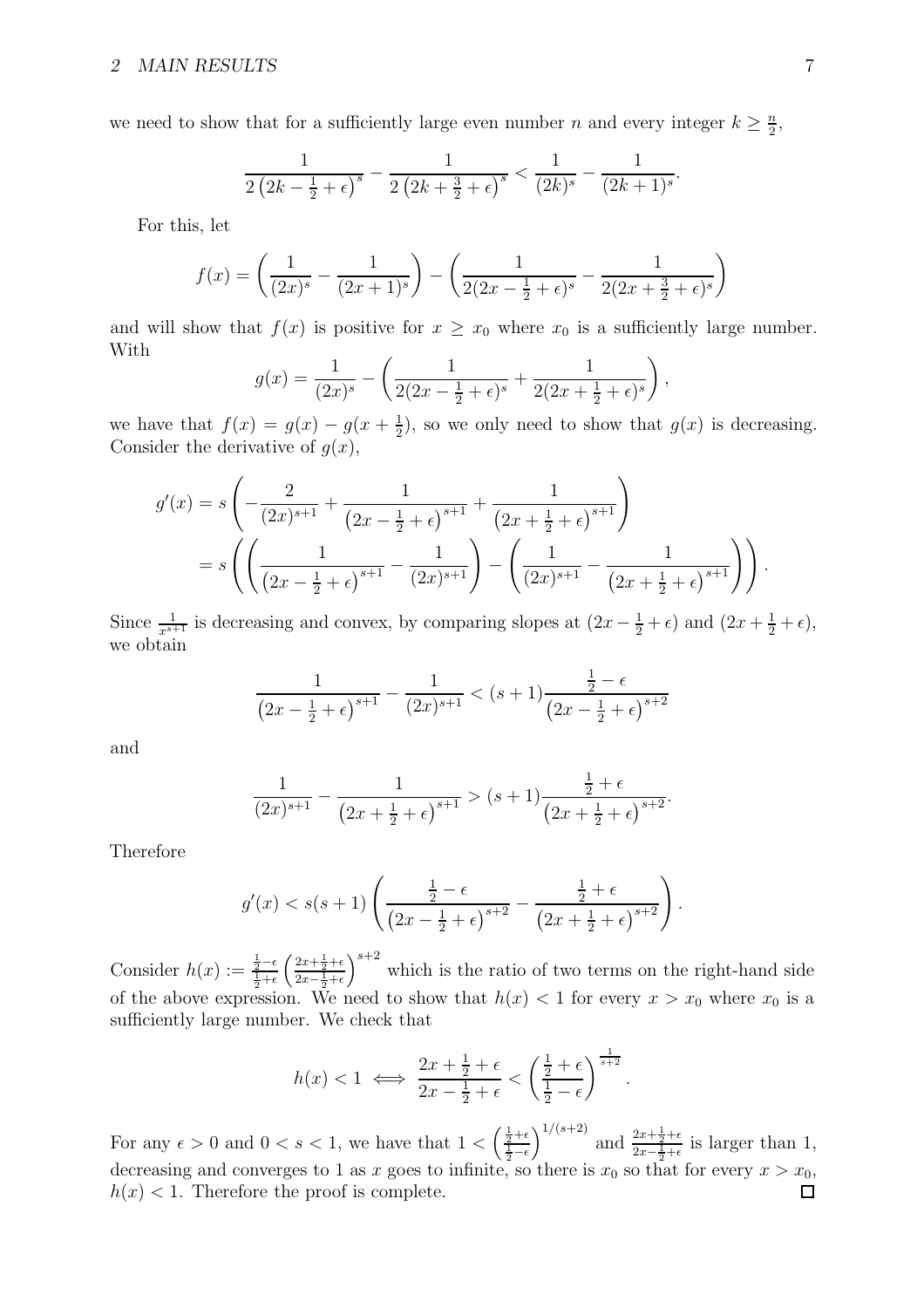we need to show that for a sufficiently large even number n and every integer  $k \geq \frac{n}{2}$  $\frac{n}{2}$ 

$$
\frac{1}{2\left(2k-\frac{1}{2}+\epsilon\right)^s} - \frac{1}{2\left(2k+\frac{3}{2}+\epsilon\right)^s} < \frac{1}{(2k)^s} - \frac{1}{(2k+1)^s}.
$$

For this, let

$$
f(x) = \left(\frac{1}{(2x)^s} - \frac{1}{(2x+1)^s}\right) - \left(\frac{1}{2(2x-\frac{1}{2}+\epsilon)^s} - \frac{1}{2(2x+\frac{3}{2}+\epsilon)^s}\right)
$$

and will show that  $f(x)$  is positive for  $x \geq x_0$  where  $x_0$  is a sufficiently large number. With

$$
g(x) = \frac{1}{(2x)^s} - \left(\frac{1}{2(2x - \frac{1}{2} + \epsilon)^s} + \frac{1}{2(2x + \frac{1}{2} + \epsilon)^s}\right),
$$

we have that  $f(x) = g(x) - g(x + \frac{1}{2})$  $\frac{1}{2}$ , so we only need to show that  $g(x)$  is decreasing. Consider the derivative of  $g(x)$ ,

$$
g'(x) = s \left( -\frac{2}{(2x)^{s+1}} + \frac{1}{(2x - \frac{1}{2} + \epsilon)^{s+1}} + \frac{1}{(2x + \frac{1}{2} + \epsilon)^{s+1}} \right)
$$
  
=  $s \left( \left( \frac{1}{(2x - \frac{1}{2} + \epsilon)^{s+1}} - \frac{1}{(2x)^{s+1}} \right) - \left( \frac{1}{(2x)^{s+1}} - \frac{1}{(2x + \frac{1}{2} + \epsilon)^{s+1}} \right) \right).$ 

Since  $\frac{1}{x^{s+1}}$  is decreasing and convex, by comparing slopes at  $(2x - \frac{1}{2} + \epsilon)$  and  $(2x + \frac{1}{2} + \epsilon)$ , we obtain

$$
\frac{1}{\left(2x - \frac{1}{2} + \epsilon\right)^{s+1}} - \frac{1}{(2x)^{s+1}} < \left(s+1\right) \frac{\frac{1}{2} - \epsilon}{\left(2x - \frac{1}{2} + \epsilon\right)^{s+2}}
$$

and

$$
\frac{1}{(2x)^{s+1}} - \frac{1}{(2x + \frac{1}{2} + \epsilon)^{s+1}} > (s+1) \frac{\frac{1}{2} + \epsilon}{(2x + \frac{1}{2} + \epsilon)^{s+2}}.
$$

Therefore

$$
g'(x) < s(s+1) \left( \frac{\frac{1}{2} - \epsilon}{\left( 2x - \frac{1}{2} + \epsilon \right)^{s+2}} - \frac{\frac{1}{2} + \epsilon}{\left( 2x + \frac{1}{2} + \epsilon \right)^{s+2}} \right).
$$

Consider  $h(x) := \frac{\frac{1}{2} - \epsilon}{\frac{1}{2} + \epsilon}$  $\left( \frac{2x+\frac{1}{2}+\epsilon}{2} \right)$  $2x-\frac{1}{2}+\epsilon$  $s^{+2}$  which is the ratio of two terms on the right-hand side of the above expression. We need to show that  $h(x) < 1$  for every  $x > x_0$  where  $x_0$  is a sufficiently large number. We check that

$$
h(x) < 1 \iff \frac{2x + \frac{1}{2} + \epsilon}{2x - \frac{1}{2} + \epsilon} < \left(\frac{\frac{1}{2} + \epsilon}{\frac{1}{2} - \epsilon}\right)^{\frac{1}{s+2}}
$$

.

 $\int_0^{1/(s+2)}$  and  $\frac{2x+\frac{1}{2}+\epsilon}{2x-\frac{1}{2}+\epsilon}$ For any  $\epsilon > 0$  and  $0 < s < 1$ , we have that  $1 < \left(\frac{\frac{1}{2} + \epsilon}{\frac{1}{2} - \epsilon}\right)$  $\frac{2x+\frac{1}{2}+\epsilon}{2x-\frac{1}{2}+\epsilon}$  is larger than 1, decreasing and converges to 1 as x goes to infinite, so there is  $x_0$  so that for every  $x > x_0$ ,  $h(x)$  < 1. Therefore the proof is complete.  $\Box$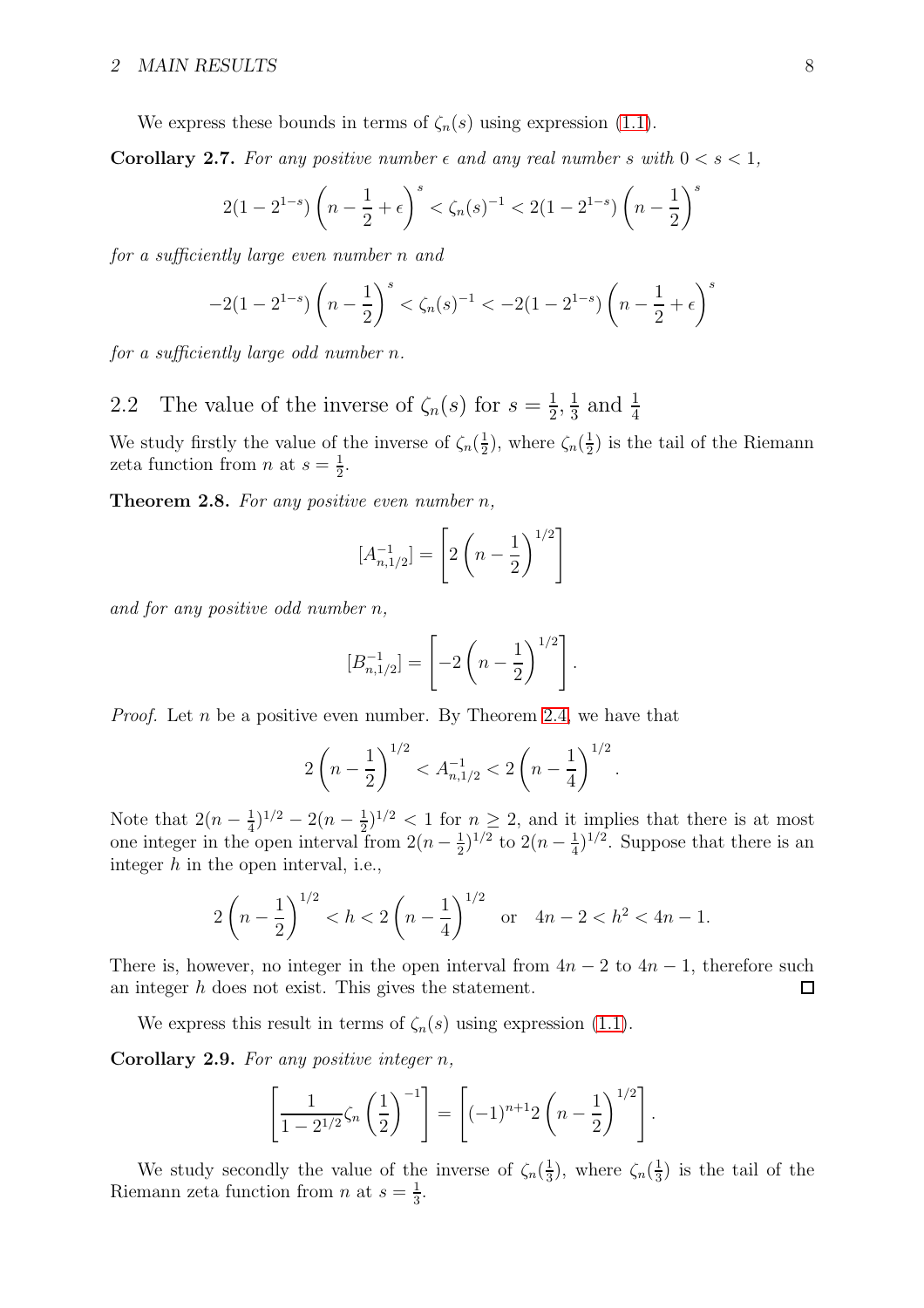We express these bounds in terms of  $\zeta_n(s)$  using expression [\(1.1\)](#page-1-0).

**Corollary 2.7.** For any positive number  $\epsilon$  and any real number s with  $0 < s < 1$ ,

$$
2(1-2^{1-s})\left(n-\frac{1}{2}+\epsilon\right)^s < \zeta_n(s)^{-1} < 2(1-2^{1-s})\left(n-\frac{1}{2}\right)^s
$$

for a sufficiently large even number n and

$$
-2(1-2^{1-s})\left(n-\frac{1}{2}\right)^s < \zeta_n(s)^{-1} < -2(1-2^{1-s})\left(n-\frac{1}{2}+\epsilon\right)^s
$$

for a sufficiently large odd number n.

2.2 The value of the inverse of  $\zeta_n(s)$  for  $s=\frac{1}{2}$  $\frac{1}{2}, \frac{1}{3}$  $\frac{1}{3}$  and  $\frac{1}{4}$ 

<span id="page-7-0"></span>We study firstly the value of the inverse of  $\zeta_n(\frac{1}{2})$  $(\frac{1}{2})$ , where  $\zeta_n(\frac{1}{2})$  $\frac{1}{2}$ ) is the tail of the Riemann zeta function from *n* at  $s = \frac{1}{2}$  $\frac{1}{2}$ .

**Theorem 2.8.** For any positive even number  $n$ ,

$$
[A_{n,1/2}^{-1}] = \left[2\left(n-\frac{1}{2}\right)^{1/2}\right]
$$

and for any positive odd number n,

$$
[B_{n,1/2}^{-1}] = \left[-2\left(n-\frac{1}{2}\right)^{1/2}\right].
$$

*Proof.* Let *n* be a positive even number. By Theorem [2.4,](#page-5-0) we have that

$$
2\left(n-\frac{1}{2}\right)^{1/2} < A_{n,1/2}^{-1} < 2\left(n-\frac{1}{4}\right)^{1/2}.
$$

Note that  $2(n-\frac{1}{4})$  $(\frac{1}{4})^{1/2} - 2(n - \frac{1}{2})$  $(\frac{1}{2})^{1/2}$  < 1 for  $n \geq 2$ , and it implies that there is at most one integer in the open interval from  $2(n-\frac{1}{2})$  $(\frac{1}{2})^{1/2}$  to  $2(n-\frac{1}{4})$  $(\frac{1}{4})^{1/2}$ . Suppose that there is an integer  $h$  in the open interval, i.e.,

$$
2\left(n-\frac{1}{2}\right)^{1/2} < h < 2\left(n-\frac{1}{4}\right)^{1/2} \quad \text{or} \quad 4n-2 < h^2 < 4n-1.
$$

There is, however, no integer in the open interval from  $4n - 2$  to  $4n - 1$ , therefore such an integer h does not exist. This gives the statement.  $\Box$ 

<span id="page-7-2"></span>We express this result in terms of  $\zeta_n(s)$  using expression [\(1.1\)](#page-1-0).

Corollary 2.9. For any positive integer  $n$ ,

$$
\left[\frac{1}{1-2^{1/2}}\zeta_n\left(\frac{1}{2}\right)^{-1}\right] = \left[(-1)^{n+1}2\left(n-\frac{1}{2}\right)^{1/2}\right].
$$

<span id="page-7-1"></span>We study secondly the value of the inverse of  $\zeta_n(\frac{1}{3})$  $\frac{1}{3}$ ), where  $\zeta_n(\frac{1}{3})$  $\frac{1}{3}$ ) is the tail of the Riemann zeta function from *n* at  $s = \frac{1}{3}$  $\frac{1}{3}$ .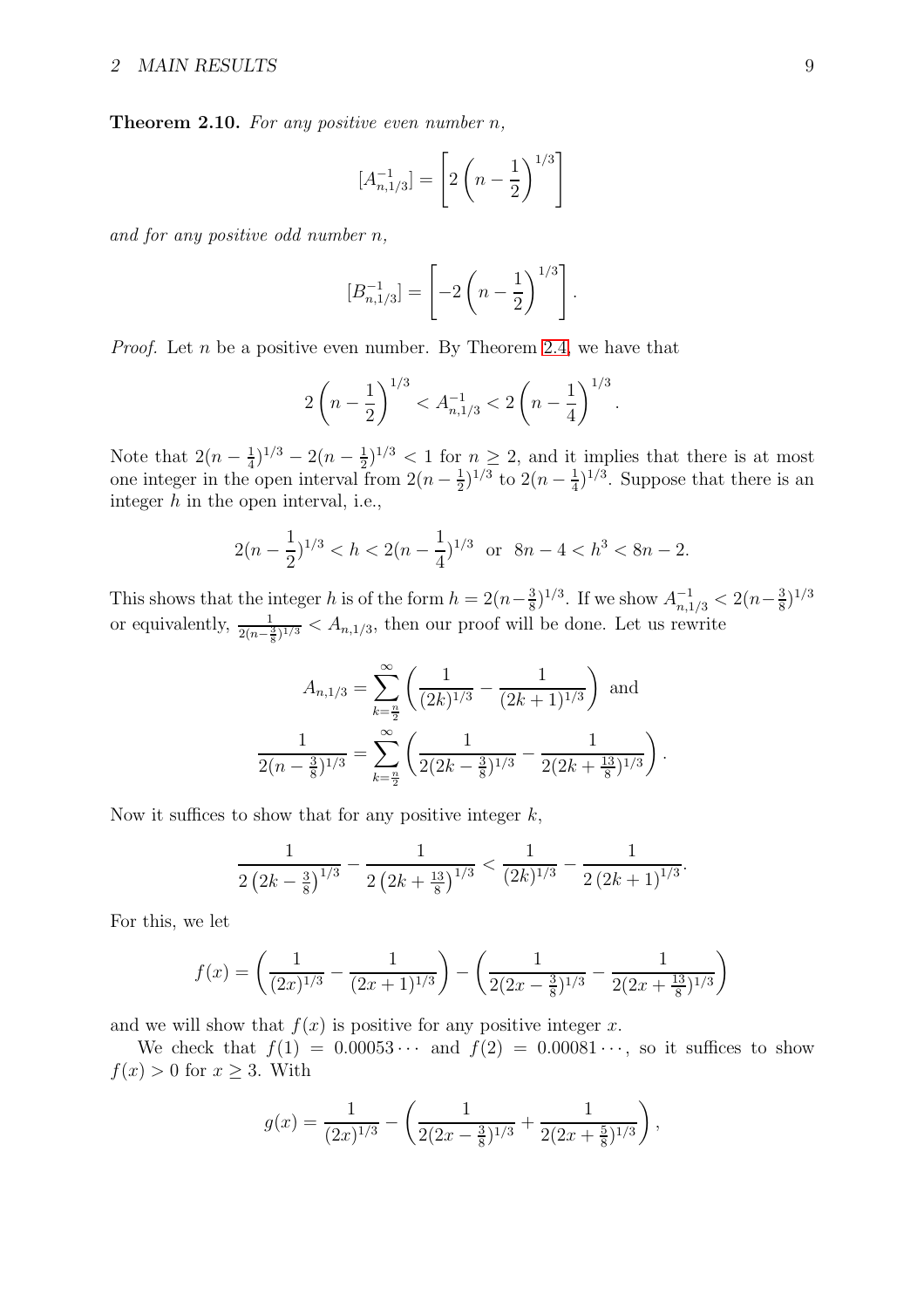**Theorem 2.10.** For any positive even number  $n$ ,

$$
[A_{n,1/3}^{-1}] = \left[2\left(n-\frac{1}{2}\right)^{1/3}\right]
$$

and for any positive odd number n,

$$
[B_{n,1/3}^{-1}] = \left[-2\left(n-\frac{1}{2}\right)^{1/3}\right]
$$

.

.

*Proof.* Let *n* be a positive even number. By Theorem [2.4,](#page-5-0) we have that

$$
2\left(n-\frac{1}{2}\right)^{1/3} < A_{n,1/3}^{-1} < 2\left(n-\frac{1}{4}\right)^{1/3}
$$

Note that  $2(n-\frac{1}{4})$  $(\frac{1}{4})^{1/3} - 2(n - \frac{1}{2})$  $(\frac{1}{2})^{1/3} < 1$  for  $n \geq 2$ , and it implies that there is at most one integer in the open interval from  $2(n-\frac{1}{2})$  $(\frac{1}{2})^{1/3}$  to  $2(n-\frac{1}{4})$  $(\frac{1}{4})^{1/3}$ . Suppose that there is an integer  $h$  in the open interval, i.e.,

$$
2(n - \frac{1}{2})^{1/3} < h < 2(n - \frac{1}{4})^{1/3} \quad \text{or} \quad 8n - 4 < h^3 < 8n - 2.
$$

This shows that the integer h is of the form  $h = 2(n-\frac{3}{8})$  $(\frac{3}{8})^{1/3}$ . If we show  $A_{n,1/3}^{-1} < 2(n-\frac{3}{8})$  $(\frac{3}{8})^{1/3}$ or equivalently,  $\frac{1}{2(n-\frac{3}{8})^{1/3}} < A_{n,1/3}$ , then our proof will be done. Let us rewrite

$$
A_{n,1/3} = \sum_{k=\frac{n}{2}}^{\infty} \left( \frac{1}{(2k)^{1/3}} - \frac{1}{(2k+1)^{1/3}} \right) \text{ and}
$$

$$
\frac{1}{2(n-\frac{3}{8})^{1/3}} = \sum_{k=\frac{n}{2}}^{\infty} \left( \frac{1}{2(2k-\frac{3}{8})^{1/3}} - \frac{1}{2(2k+\frac{13}{8})^{1/3}} \right).
$$

Now it suffices to show that for any positive integer  $k$ ,

$$
\frac{1}{2\left(2k-\frac{3}{8}\right)^{1/3}}-\frac{1}{2\left(2k+\frac{13}{8}\right)^{1/3}}<\frac{1}{\left(2k\right)^{1/3}}-\frac{1}{2\left(2k+1\right)^{1/3}}.
$$

For this, we let

$$
f(x) = \left(\frac{1}{(2x)^{1/3}} - \frac{1}{(2x+1)^{1/3}}\right) - \left(\frac{1}{2(2x-\frac{3}{8})^{1/3}} - \frac{1}{2(2x+\frac{13}{8})^{1/3}}\right)
$$

and we will show that  $f(x)$  is positive for any positive integer x.

We check that  $f(1) = 0.00053 \cdots$  and  $f(2) = 0.00081 \cdots$ , so it suffices to show  $f(x) > 0$  for  $x \geq 3$ . With

$$
g(x) = \frac{1}{(2x)^{1/3}} - \left(\frac{1}{2(2x - \frac{3}{8})^{1/3}} + \frac{1}{2(2x + \frac{5}{8})^{1/3}}\right),
$$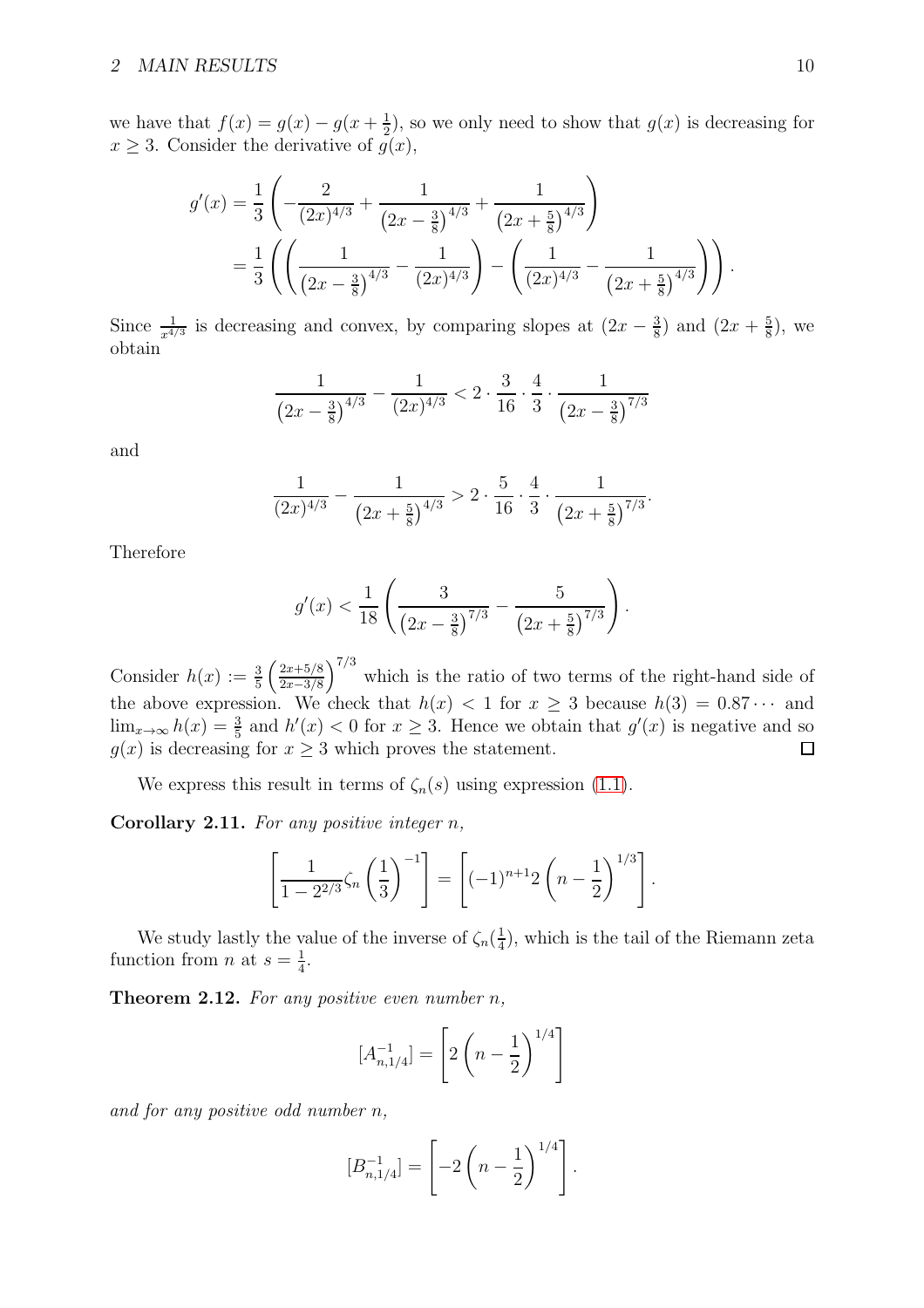we have that  $f(x) = g(x) - g(x + \frac{1}{2})$  $\frac{1}{2}$ , so we only need to show that  $g(x)$  is decreasing for  $x \geq 3$ . Consider the derivative of  $g(x)$ ,

$$
g'(x) = \frac{1}{3} \left( -\frac{2}{(2x)^{4/3}} + \frac{1}{(2x - \frac{3}{8})^{4/3}} + \frac{1}{(2x + \frac{5}{8})^{4/3}} \right)
$$
  
= 
$$
\frac{1}{3} \left( \left( \frac{1}{(2x - \frac{3}{8})^{4/3}} - \frac{1}{(2x)^{4/3}} \right) - \left( \frac{1}{(2x)^{4/3}} - \frac{1}{(2x + \frac{5}{8})^{4/3}} \right) \right).
$$

Since  $\frac{1}{x^{4/3}}$  is decreasing and convex, by comparing slopes at  $(2x - \frac{3}{8})$  $(\frac{3}{8})$  and  $(2x + \frac{5}{8})$  $(\frac{5}{8})$ , we obtain

$$
\frac{1}{\left(2x - \frac{3}{8}\right)^{4/3}} - \frac{1}{\left(2x\right)^{4/3}} < 2 \cdot \frac{3}{16} \cdot \frac{4}{3} \cdot \frac{1}{\left(2x - \frac{3}{8}\right)^{7/3}}
$$

and

$$
\frac{1}{(2x)^{4/3}} - \frac{1}{\left(2x + \frac{5}{8}\right)^{4/3}} > 2 \cdot \frac{5}{16} \cdot \frac{4}{3} \cdot \frac{1}{\left(2x + \frac{5}{8}\right)^{7/3}}
$$

.

Therefore

$$
g'(x) < \frac{1}{18} \left( \frac{3}{\left(2x - \frac{3}{8}\right)^{7/3}} - \frac{5}{\left(2x + \frac{5}{8}\right)^{7/3}} \right).
$$

Consider  $h(x) := \frac{3}{5} \left( \frac{2x+5/8}{2x-3/8} \right)$  $\frac{2x+5/8}{2x-3/8}$ <sup>7/3</sup> which is the ratio of two terms of the right-hand side of the above expression. We check that  $h(x) < 1$  for  $x \ge 3$  because  $h(3) = 0.87 \cdots$  and  $\lim_{x\to\infty} h(x) = \frac{3}{5}$  and  $h'(x) < 0$  for  $x \ge 3$ . Hence we obtain that  $g'(x)$  is negative and so  $g(x)$  is decreasing for  $x \geq 3$  which proves the statement.

<span id="page-9-1"></span>We express this result in terms of  $\zeta_n(s)$  using expression [\(1.1\)](#page-1-0).

Corollary 2.11. For any positive integer  $n$ ,

$$
\left[\frac{1}{1-2^{2/3}}\zeta_n\left(\frac{1}{3}\right)^{-1}\right] = \left[(-1)^{n+1}2\left(n-\frac{1}{2}\right)^{1/3}\right].
$$

<span id="page-9-0"></span>We study lastly the value of the inverse of  $\zeta_n(\frac{1}{4})$  $(\frac{1}{4})$ , which is the tail of the Riemann zeta function from *n* at  $s = \frac{1}{4}$  $\frac{1}{4}$ .

**Theorem 2.12.** For any positive even number  $n$ ,

$$
[A_{n,1/4}^{-1}] = \left[2\left(n - \frac{1}{2}\right)^{1/4}\right]
$$

and for any positive odd number n,

$$
[B_{n,1/4}^{-1}] = \left[-2\left(n-\frac{1}{2}\right)^{1/4}\right].
$$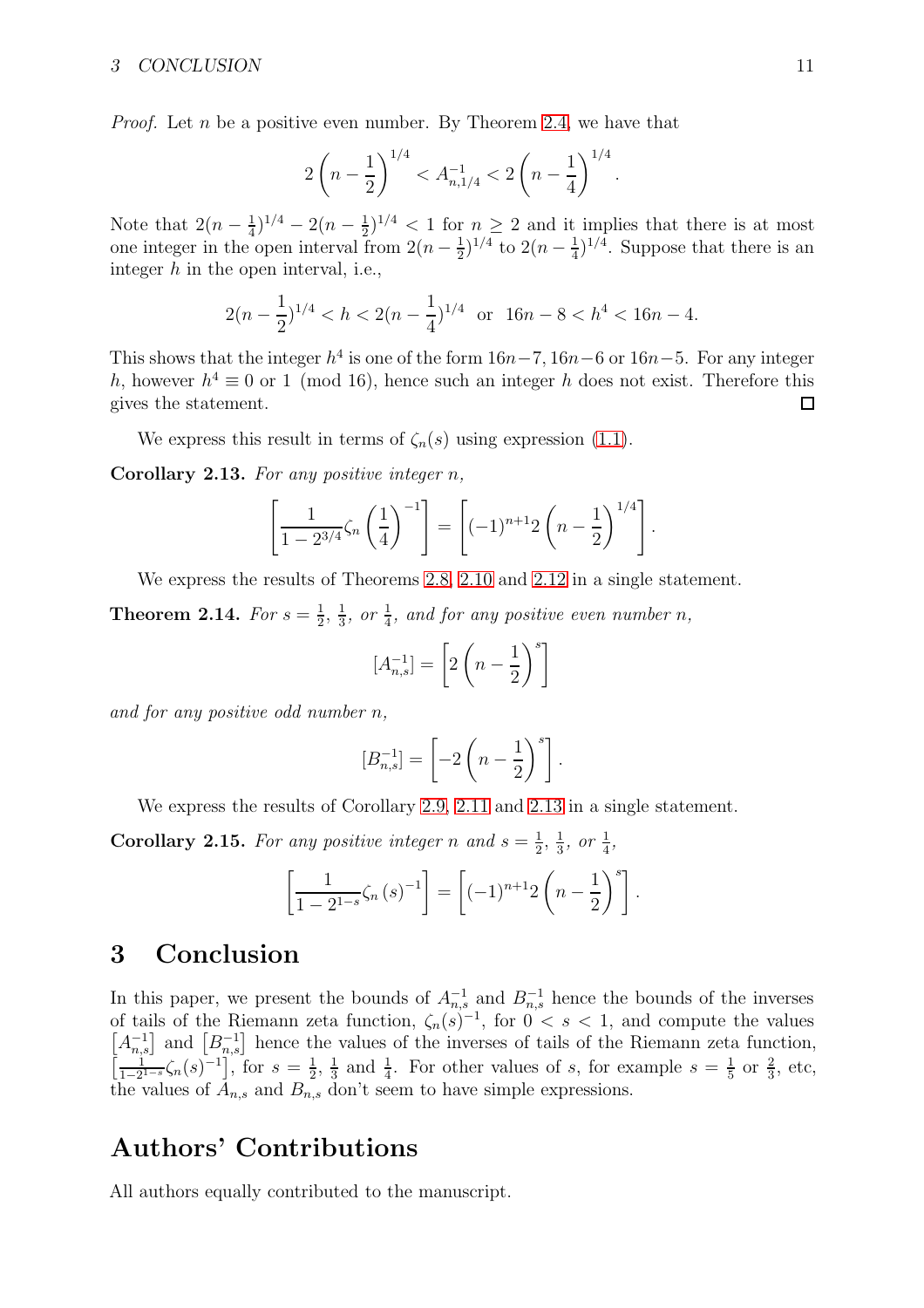*Proof.* Let *n* be a positive even number. By Theorem [2.4,](#page-5-0) we have that

$$
2\left(n-\frac{1}{2}\right)^{1/4} < A_{n,1/4}^{-1} < 2\left(n-\frac{1}{4}\right)^{1/4}.
$$

Note that  $2(n-\frac{1}{4})$  $(\frac{1}{4})^{1/4} - 2(n - \frac{1}{2})$  $(\frac{1}{2})^{1/4}$  < 1 for  $n \geq 2$  and it implies that there is at most one integer in the open interval from  $2(n-\frac{1}{2})$  $(\frac{1}{2})^{1/4}$  to  $2(n-\frac{1}{4})$  $(\frac{1}{4})^{1/4}$ . Suppose that there is an integer  $h$  in the open interval, i.e.,

$$
2(n-\frac{1}{2})^{1/4} < h < 2(n-\frac{1}{4})^{1/4} \quad \text{or} \quad 16n-8 < h^4 < 16n-4.
$$

This shows that the integer  $h^4$  is one of the form  $16n-7$ ,  $16n-6$  or  $16n-5$ . For any integer h, however  $h^4 \equiv 0$  or 1 (mod 16), hence such an integer h does not exist. Therefore this gives the statement. □

<span id="page-10-0"></span>We express this result in terms of  $\zeta_n(s)$  using expression [\(1.1\)](#page-1-0).

**Corollary 2.13.** For any positive integer  $n$ ,

$$
\left[\frac{1}{1-2^{3/4}}\zeta_n\left(\frac{1}{4}\right)^{-1}\right] = \left[(-1)^{n+1}2\left(n-\frac{1}{2}\right)^{1/4}\right].
$$

We express the results of Theorems [2.8,](#page-7-0) [2.10](#page-7-1) and [2.12](#page-9-0) in a single statement.

**Theorem 2.14.** For  $s=\frac{1}{2}$  $\frac{1}{2}$ ,  $\frac{1}{3}$  $\frac{1}{3}$ , or  $\frac{1}{4}$ , and for any positive even number n,

$$
[A_{n,s}^{-1}] = \left[2\left(n-\frac{1}{2}\right)^s\right]
$$

and for any positive odd number n,

$$
[B_{n,s}^{-1}]=\left[-2\left(n-\frac{1}{2}\right)^s\right].
$$

We express the results of Corollary [2.9,](#page-7-2) [2.11](#page-9-1) and [2.13](#page-10-0) in a single statement.

**Corollary 2.15.** For any positive integer n and  $s = \frac{1}{2}$  $\frac{1}{2}, \frac{1}{3}$  $\frac{1}{3}$ , or  $\frac{1}{4}$ ,

$$
\left[\frac{1}{1-2^{1-s}}\zeta_n(s)^{-1}\right] = \left[(-1)^{n+1}2\left(n-\frac{1}{2}\right)^s\right].
$$

### 3 Conclusion

In this paper, we present the bounds of  $A_{n,s}^{-1}$  and  $B_{n,s}^{-1}$  hence the bounds of the inverses of tails of the Riemann zeta function,  $\zeta_n(s)^{-1}$ , for  $0 < s < 1$ , and compute the values  $[A_{n,s}^{-1}]$  and  $[B_{n,s}^{-1}]$  hence the values of the inverses of tails of the Riemann zeta function,  $\left[\frac{1}{1-2^{1-s}}\zeta_n(s)^{-1}\right],$  for  $s=\frac{1}{2}$  $\frac{1}{2}, \frac{1}{3}$  $\frac{1}{3}$  and  $\frac{1}{4}$ . For other values of s, for example  $s = \frac{1}{5}$  $\frac{1}{5}$  or  $\frac{2}{3}$ , etc, the values of  $A_{n,s}$  and  $B_{n,s}$  don't seem to have simple expressions.

### Authors' Contributions

All authors equally contributed to the manuscript.